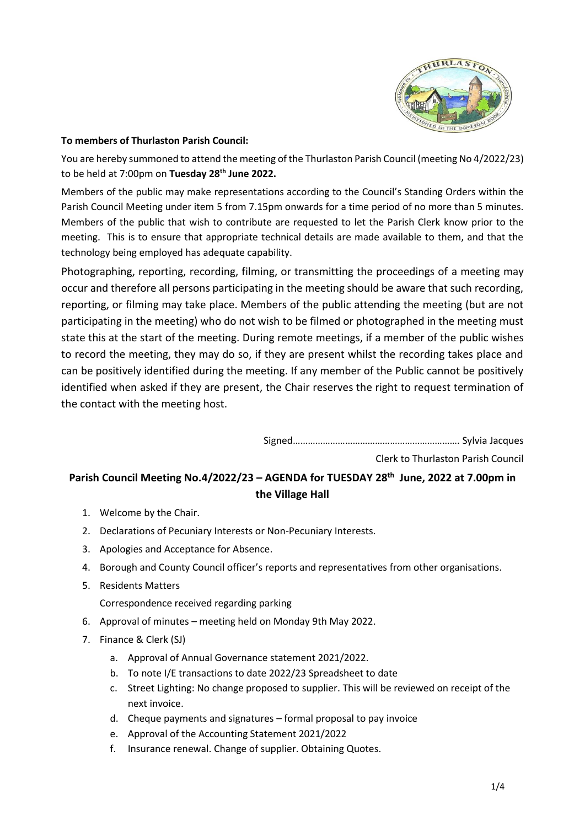

## **To members of Thurlaston Parish Council:**

You are hereby summoned to attend the meeting of the Thurlaston Parish Council (meeting No 4/2022/23) to be held at 7:00pm on **Tuesday 28th June 2022.**

Members of the public may make representations according to the Council's Standing Orders within the Parish Council Meeting under item 5 from 7.15pm onwards for a time period of no more than 5 minutes. Members of the public that wish to contribute are requested to let the Parish Clerk know prior to the meeting. This is to ensure that appropriate technical details are made available to them, and that the technology being employed has adequate capability.

Photographing, reporting, recording, filming, or transmitting the proceedings of a meeting may occur and therefore all persons participating in the meeting should be aware that such recording, reporting, or filming may take place. Members of the public attending the meeting (but are not participating in the meeting) who do not wish to be filmed or photographed in the meeting must state this at the start of the meeting. During remote meetings, if a member of the public wishes to record the meeting, they may do so, if they are present whilst the recording takes place and can be positively identified during the meeting. If any member of the Public cannot be positively identified when asked if they are present, the Chair reserves the right to request termination of the contact with the meeting host.

Signed…………………………………………………………. Sylvia Jacques

Clerk to Thurlaston Parish Council

## **Parish Council Meeting No.4/2022/23 – AGENDA for TUESDAY 28th June, 2022 at 7.00pm in the Village Hall**

- 1. Welcome by the Chair.
- 2. Declarations of Pecuniary Interests or Non-Pecuniary Interests.
- 3. Apologies and Acceptance for Absence.
- 4. Borough and County Council officer's reports and representatives from other organisations.
- 5. Residents Matters

Correspondence received regarding parking

- 6. Approval of minutes meeting held on Monday 9th May 2022.
- 7. Finance & Clerk (SJ)
	- a. Approval of Annual Governance statement 2021/2022.
	- b. To note I/E transactions to date 2022/23 Spreadsheet to date
	- c. Street Lighting: No change proposed to supplier. This will be reviewed on receipt of the next invoice.
	- d. Cheque payments and signatures formal proposal to pay invoice
	- e. Approval of the Accounting Statement 2021/2022
	- f. Insurance renewal. Change of supplier. Obtaining Quotes.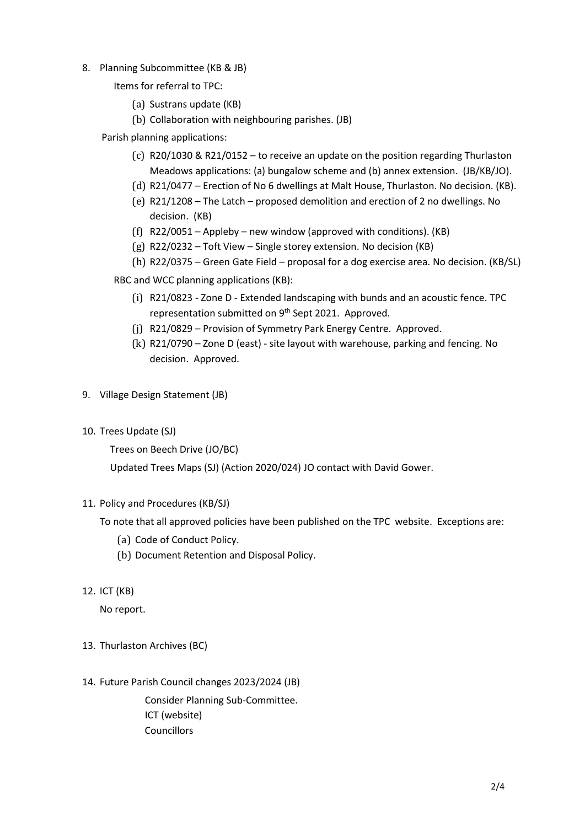- 8. Planning Subcommittee (KB & JB)
	- Items for referral to TPC:
		- (a) Sustrans update (KB)
		- (b) Collaboration with neighbouring parishes. (JB)

Parish planning applications:

- (c) R20/1030 & R21/0152 to receive an update on the position regarding Thurlaston Meadows applications: (a) bungalow scheme and (b) annex extension. (JB/KB/JO).
- (d) R21/0477 Erection of No 6 dwellings at Malt House, Thurlaston. No decision. (KB).
- (e) R21/1208 The Latch proposed demolition and erection of 2 no dwellings. No decision. (KB)
- (f) R22/0051 Appleby new window (approved with conditions). (KB)
- (g) R22/0232 Toft View Single storey extension. No decision (KB)
- (h) R22/0375 Green Gate Field proposal for a dog exercise area. No decision. (KB/SL)

RBC and WCC planning applications (KB):

- (i) R21/0823 Zone D Extended landscaping with bunds and an acoustic fence. TPC representation submitted on 9<sup>th</sup> Sept 2021. Approved.
- (j) R21/0829 Provision of Symmetry Park Energy Centre. Approved.
- (k) R21/0790 Zone D (east) site layout with warehouse, parking and fencing. No decision. Approved.
- 9. Village Design Statement (JB)
- 10. Trees Update (SJ)

Trees on Beech Drive (JO/BC)

Updated Trees Maps (SJ) (Action 2020/024) JO contact with David Gower.

## 11. Policy and Procedures (KB/SJ)

To note that all approved policies have been published on the TPC website. Exceptions are:

- (a) Code of Conduct Policy.
- (b) Document Retention and Disposal Policy.
- 12. ICT (KB)

No report.

- 13. Thurlaston Archives (BC)
- 14. Future Parish Council changes 2023/2024 (JB)

Consider Planning Sub-Committee. ICT (website) Councillors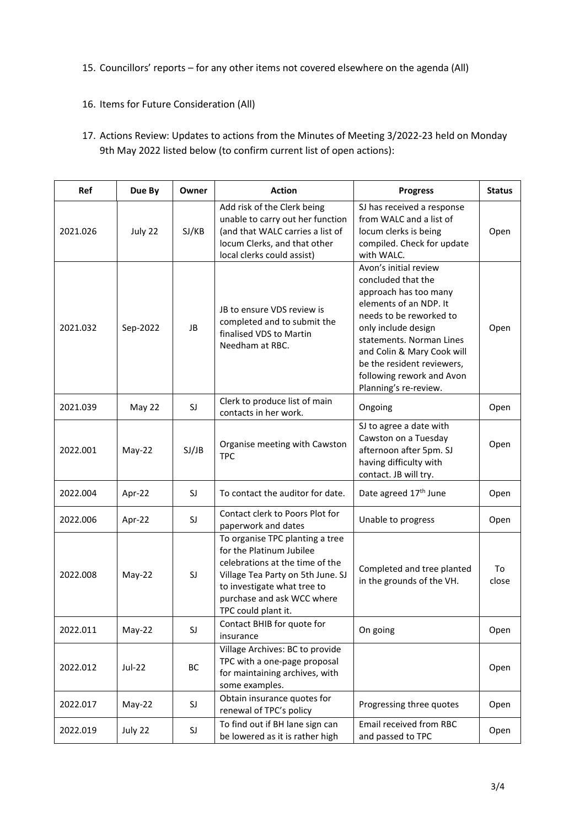- 15. Councillors' reports for any other items not covered elsewhere on the agenda (All)
- 16. Items for Future Consideration (All)
- 17. Actions Review: Updates to actions from the Minutes of Meeting 3/2022-23 held on Monday 9th May 2022 listed below (to confirm current list of open actions):

| Ref      | Due By   | Owner | <b>Action</b>                                                                                                                                                                                                           | <b>Progress</b>                                                                                                                                                                                                                                                                                | <b>Status</b> |
|----------|----------|-------|-------------------------------------------------------------------------------------------------------------------------------------------------------------------------------------------------------------------------|------------------------------------------------------------------------------------------------------------------------------------------------------------------------------------------------------------------------------------------------------------------------------------------------|---------------|
| 2021.026 | July 22  | SJ/KB | Add risk of the Clerk being<br>unable to carry out her function<br>(and that WALC carries a list of<br>locum Clerks, and that other<br>local clerks could assist)                                                       | SJ has received a response<br>from WALC and a list of<br>locum clerks is being<br>compiled. Check for update<br>with WALC.                                                                                                                                                                     | Open          |
| 2021.032 | Sep-2022 | JB    | JB to ensure VDS review is<br>completed and to submit the<br>finalised VDS to Martin<br>Needham at RBC.                                                                                                                 | Avon's initial review<br>concluded that the<br>approach has too many<br>elements of an NDP. It<br>needs to be reworked to<br>only include design<br>statements. Norman Lines<br>and Colin & Mary Cook will<br>be the resident reviewers,<br>following rework and Avon<br>Planning's re-review. | Open          |
| 2021.039 | May 22   | SJ    | Clerk to produce list of main<br>contacts in her work.                                                                                                                                                                  | Ongoing                                                                                                                                                                                                                                                                                        | Open          |
| 2022.001 | May-22   | SJ/JB | Organise meeting with Cawston<br><b>TPC</b>                                                                                                                                                                             | SJ to agree a date with<br>Cawston on a Tuesday<br>afternoon after 5pm. SJ<br>having difficulty with<br>contact. JB will try.                                                                                                                                                                  | Open          |
| 2022.004 | Apr-22   | SJ    | To contact the auditor for date.                                                                                                                                                                                        | Date agreed 17th June                                                                                                                                                                                                                                                                          | Open          |
| 2022.006 | Apr-22   | SJ    | Contact clerk to Poors Plot for<br>paperwork and dates                                                                                                                                                                  | Unable to progress                                                                                                                                                                                                                                                                             | Open          |
| 2022.008 | $May-22$ | SJ    | To organise TPC planting a tree<br>for the Platinum Jubilee<br>celebrations at the time of the<br>Village Tea Party on 5th June. SJ<br>to investigate what tree to<br>purchase and ask WCC where<br>TPC could plant it. | Completed and tree planted<br>in the grounds of the VH.                                                                                                                                                                                                                                        | To<br>close   |
| 2022.011 | May-22   | SJ    | Contact BHIB for quote for<br>insurance                                                                                                                                                                                 | On going                                                                                                                                                                                                                                                                                       | Open          |
| 2022.012 | Jul-22   | ВC    | Village Archives: BC to provide<br>TPC with a one-page proposal<br>for maintaining archives, with<br>some examples.                                                                                                     |                                                                                                                                                                                                                                                                                                | Open          |
| 2022.017 | $May-22$ | SJ    | Obtain insurance quotes for<br>renewal of TPC's policy                                                                                                                                                                  | Progressing three quotes                                                                                                                                                                                                                                                                       | Open          |
| 2022.019 | July 22  | SJ    | To find out if BH lane sign can<br>be lowered as it is rather high                                                                                                                                                      | Email received from RBC<br>and passed to TPC                                                                                                                                                                                                                                                   | Open          |